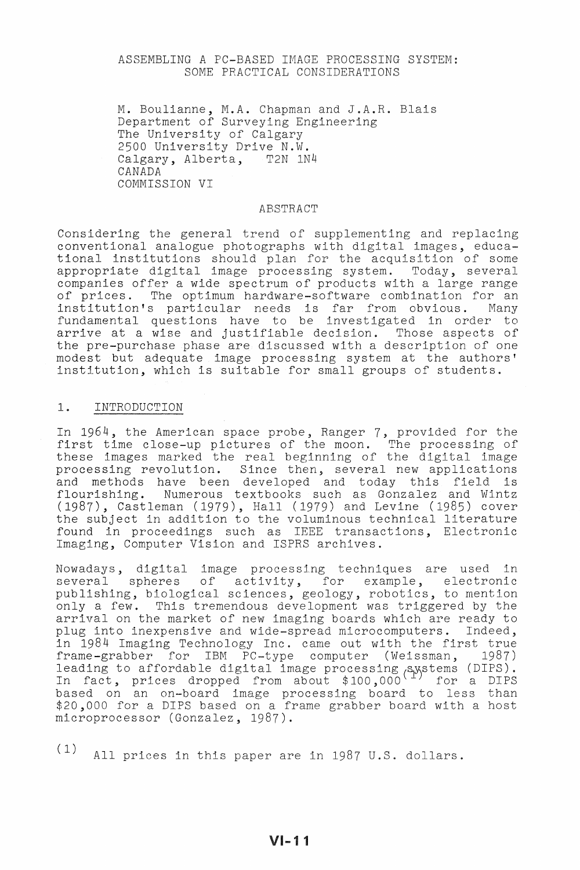### ASSEMBLING A PC-BASED IMAGE PROCESSING SYSTEM: SOME PRACTICAL CONSIDERATIONS

M. Boulianne, M.A. Chapman and J.A.R. Blais Department of Surveying Engineering The University of Calgary 2500 University Drive N.W. Calgary, Alberta, T2N 1N4 CANADA COMMISSION VI

#### ABSTRACT

Considering the general trend of supplementing and replacing conventional analogue photographs with digital images, educational institutions should plan for the acquisition of some appropriate digital image processing system. Today, several companies offer a wide spectrum of products with a large range of prices. The optimum hardware-software combination for an institution's particular needs is far from obvious. Many fundamental questions have to be investigated in order to arrive at a wise and justifiable decision. Those aspects of the pre-purchase phase are discussed with a description of one modest but adequate image processing system at the authors' institution, which is suitable for small groups of students.

### 1. INTRODUCTION

In 1964, the American space probe, Ranger **7,** provided for the first time close-up pictures of the moon. The processing of these images marked the real beginning of the digital image processing revolution. Since then, several new applications and methods have been developed and today this field is flourishing. Numerous textbooks such as Gonzalez and Wintz (1987), Castleman (1979), Hall (1979) and Levine (1985) cover the subject in addition to the voluminous technical literature found in proceedings such as IEEE transactions, Electronic Imaging, Computer Vision and ISPRS archives.

Nowadays, digital image processing techniques are used in several spheres of activity, for example, electronic publishing, biological sciences, geology, robotics, to mention only a few. This tremendous development was triggered by the arrival on the market of new imaging boards which are ready to plug into inexpensive and wide-spread microcomputers. Indeed, in 1984 Imaging Technology Inc. came out with the first true frame-grabber for IBM PC-type computer (Weissman, 1987) leading to affordable digital image processing Aystems (DIPS). Is adding to different digital image processing (ppecumb (2115).<br>In fact, prices dropped from about \$100,000 for a DIPS based on an on-board image processing board to less than \$20,000 for a DIPS based on a frame grabber board with a host microprocessor (Gonzalez, 1987).

( 1) All prices in this paper are in 1987 U.S. dollars.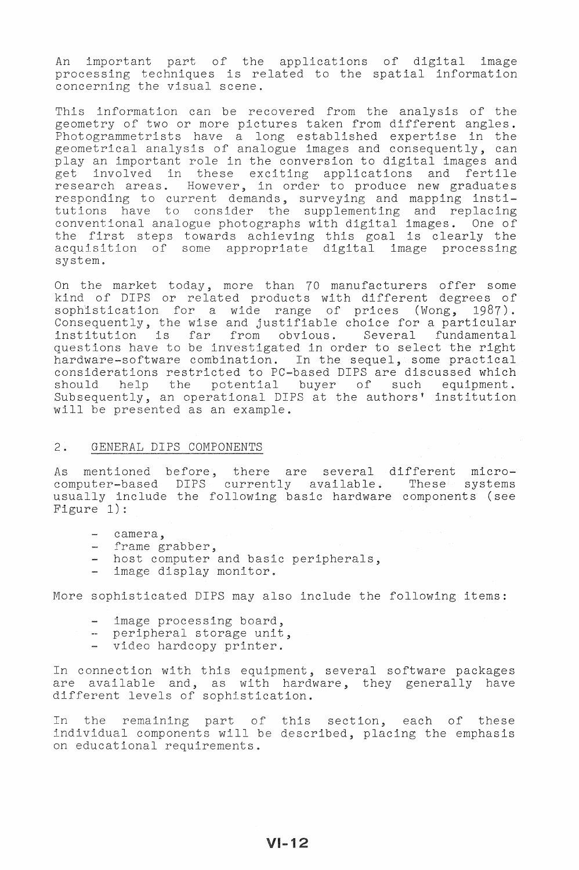An important part of the applications of digital image processing techniques is related to the spatial information concerning the visual scene.

This information can be recovered from the analysis of the geometry of two or more pictures taken from different angles. Photogrammetrists have a long established expertise in the geometrical analysis of analogue images and consequently, can play an important role in the conversion to digital images and pia, an important role in the conversion to digital images and<br>get involved in these exciting applications and fertile research areas. However, in order to produce new graduates responding to current demands, surveying and mapping institutions have to consider the supplementing and replacing conventional analogue photographs with digital images. One of the first steps towards achieving this goal is clearly the acquisition of some appropriate digital image processing system.

On the market today, more than 70 manufacturers offer some kind of DIPS or related products with different degrees of sophistication for a wide range of prices (Wong, 1987). Consequently, the wise and justifiable choice for a particular<br>institution is far from obvious. Several fundamental institution is far from obvious. Several questions have to be investigated in order to select the right hardware-software combination. In the sequel, some practical considerations restricted to PC-based DIPS are discussed which should help the potential buyer of such equipment. should help the potential buyer of such equipment.<br>Subsequently, an operational DIPS at the authors' institution will be presented as an example.

### 2. GENERAL DIPS COMPONENTS

As mentioned before, there are several different micro-<br>computer-based DIPS currently available. These systems computer-based DIPS currently available. usually include the following basic hardware components (see Figure 1):

- camera,
- frame grabber,
- host computer and basic peripherals,
- image display monitor.

More sophisticated DIPS may also include the following items:

- image processing board,
- peripheral storage unit,
- video hardcopy printer.

In connection with this equipment, several software packages are available and, as with hardware, they generally have different levels of sophistication.

In the remaining part of this section, each of these individual components will be described, placing the emphasis on educational requirements.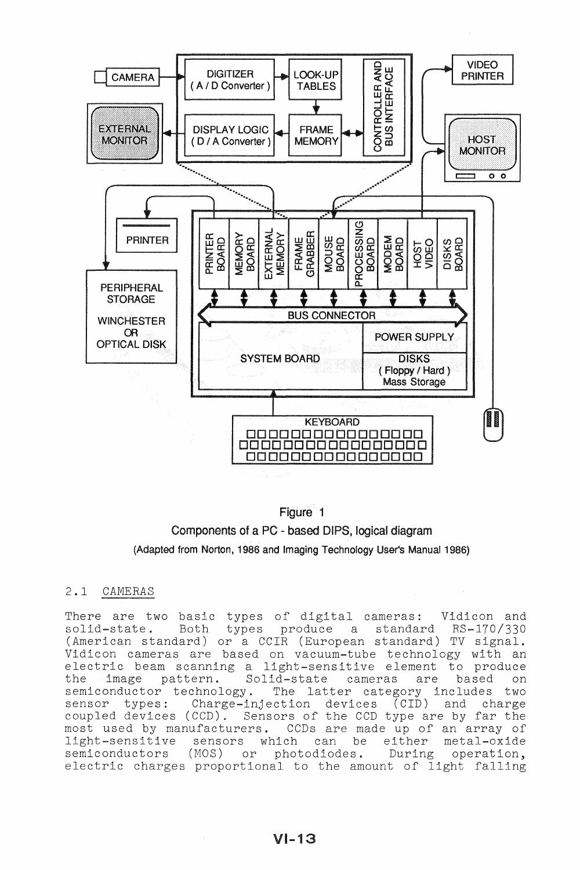

# Figure 1



# 2.1 CAMERAS

There are two basic types of digital cameras: Vidicon and<br>solid-state. Both types produce a standard RS-170/330 types produce (American standard) or a CCIR (European standard) TV signal. Vidicon cameras are based on vacuum-tube technology with an electric beam scanning a light-sensitive element to produce the image pattern. Solid-state cameras are based on the image pattern. Solid-state cameras are based on<br>semiconductor technology. The latter category includes two<br>sensor types: Charge-injection devices (CID) and charge Charge-injection devices (CID) and charge coupled devices (CCD). Sensors of the CCD type are by far the most used by manufacturers. CCDs are made up of an array of light-sensitive sensors which can be either metal-oxide<br>semiconductors (MOS) or photodiodes. During operation, or photodiodes. electric charges proportional to the amount of light falling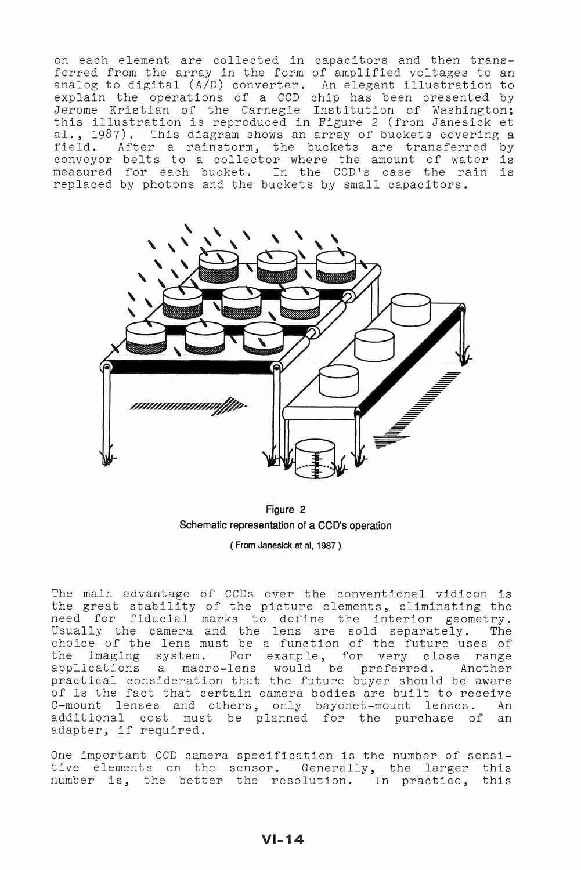on each element are collected in capacitors and then transferred from the array in the form of amplified voltages to an analog to digital (A/D) converter. An elegant illustration to explain the operations of a CCD chip has been presented by Jerome Kristian of the Carnegie Institution of Washington; this illustration is reproduced in Figure 2 (from Janesick et al., 1987). This diagram shows an array of buckets covering a field. After a rainstorm, the buckets are transferred by conveyor belts to a collector where the amount of water is measured for each bucket. In the CCD's case the rain is replaced by photons and the buckets by small capacitors.



Figure 2 Schematic representation of a CCD's operation ( From Janesick et **ai,** 1987 )

The main advantage of CCDs over the conventional vidicon is the great stability of the picture elements, eliminating the one greas seasiring or one presure erements, criminating one Usually the camera and the lens are sold separately. The choice of the lens must be a function of the future uses of the imaging system. For example, for very close range applications a macro-lens would be preferred. Another practical consideration that the future buyer should be aware of is the fact that certain camera bodies are built to receive C-mount lenses and others, only bayonet-mount lenses. An additional cost must be planned for the purchase of an adapter, if required.

One important CCD camera specification is the number of sensitive elements on the sensor. Generally, the larger this number is, the better the resolution. In practice, this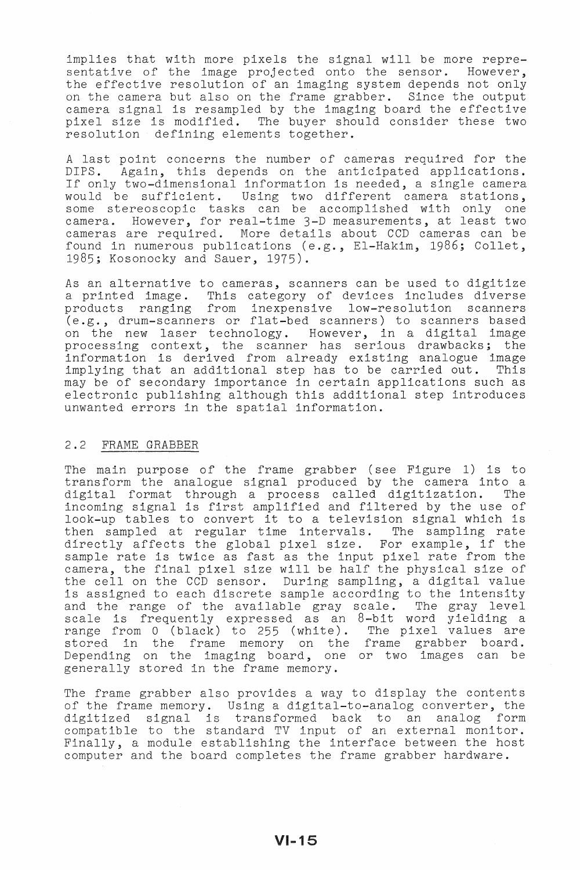implies that with more pixels the signal will be more representative of the image projected onto the sensor. However, the effective resolution of an imaging system depends not only on the camera but also on the frame grabber. Since the output camera signal is resampled by the imaging board the effective pixel size is modified. The buyer should consider these two resolution defining elements together.

A last point concerns the number of cameras required for the DIPS. Again, this depends on the anticipated applications. If only two-dimensional information is needed, a single camera If only two dimensional information is necated, a single camera some stereoscopic tasks can be accomplished with only one camera. However, for real-time 3-D measurements, at least two cameras are required. More details about CCD cameras can be found in numerous publications (e.g., EI-Hakim, 1986; Collet, 1985; Kosonocky and Sauer, 1975).

As an alternative to cameras, scanners can be used to digitize<br>a printed image. This category of devices includes diverse This category of devices includes diverse products ranging from inexpensive low-resolution scanners (e.g., drum-scanners or flat-bed scanners) to scanners based on the new laser technology. However, in a digital image processing context, the scanner has serious drawbacks; the information is derived from already existing analogue image implying that an additional step has to be carried out. This may be of secondary importance in certain applications such as electronic publishing although this additional step introduces unwanted errors in the spatial information.

#### 2.2 FRAME GRABBER

The main purpose of the frame grabber (see Figure 1) is to transform the analogue signal produced by the camera into a digital format through a process called digitization. The incoming signal is first amplified and filtered by the use of look-up tables to convert it to a television signal which is then sampled at regular time intervals. The sampling rate then sampled at regular time intervals. The sampling rate<br>directly affects the global pixel size. For example, if the aircoor, affects one grown pract size. The cammpic, if one cample face is emice as face as one input pincipally in the camera, the final pixel size will be half the physical size of the cell on the CCD sensor. During sampling, a digital value is assigned to each discrete sample according to the intensity and the range of the available gray scale. The gray level scale is frequently expressed as an 8-bit word yielding a range from 0 (black) to 255 (white). The pixel values are stored in the frame memory on the frame grabber board. Depending on the imaging board, one or two images can be generally stored in the frame memory.

The frame grabber also provides a way to display the contents of the frame memory. Using a digital-to-analog converter, the digitized signal is transformed back to an analog form compatible to the standard TV input of an external monitor. Finally, a module establishing the interface between the host computer and the board completes the frame grabber hardware.

 $VI-15$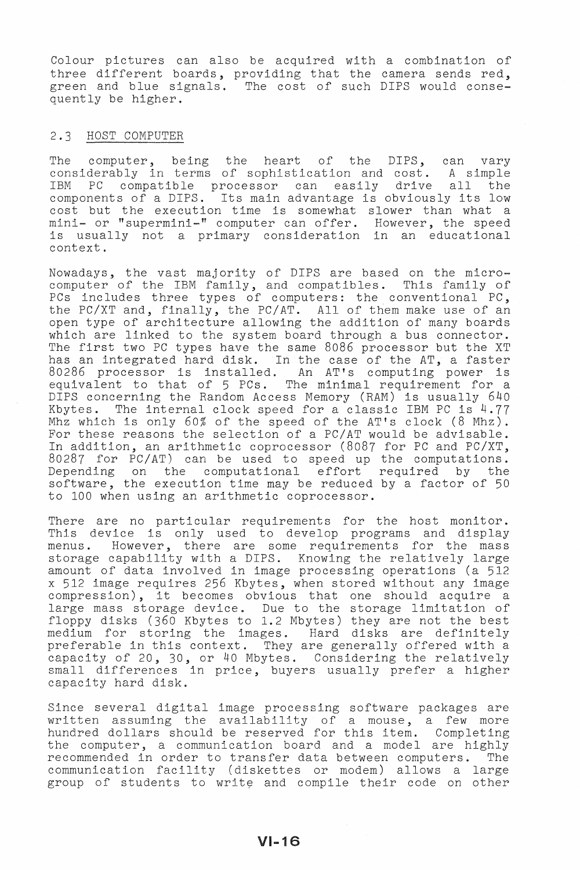Colour pictures can also be acquired with a combination of three different boards, providing that the camera sends red, green and blue signals. The cost of such DIPS would consequently be higher.

#### 2.3 HOST COMPUTER

The computer, being the heart of the DIPS, can vary considerably in terms of sophistication and cost. A simple IBM PC compatible processor can easily drive all the components of a DIPS. Its main advantage is obviously its low cost but the execution time is somewhat slower than what a mini- or "supermini-" computer can offer. However, the speed is usually not a primary consideration in an educational context.

Nowadays, the vast majority of DIPS are based on the microcomputer of the IBM family, and compatibles. This family of PCs includes three types of computers: the conventional PC, the PC/XT and, finally, the PC/AT. All of them make use of an open type of architecture allowing the addition of many boards which are linked to the system board through a bus connector. which are finked to the system board through a bus connected: has an integrated hard disk. In the case of the AT, a faster 80286 processor is installed. An AT's computing power is equivalent to that of 5 PCs. The minimal requirement for a DIPS concerning the Random Access Memory (RAM) is usually 640<br>Kbytes. The internal clock speed for a classic IBM PC is 4.77 The internal clock speed for a classic IBM PC is 4.77 Mhz which is only 60% of the speed of the AT's clock (8 Mhz). For these reasons the selection of a PC/AT would be advisable. In addition, an arithmetic coprocessor (8087 for PC and PC/XT, 80287 for PC/AT) can be used to speed up the computations. Depending on the computational effort required by the software, the execution time may be reduced by a factor of 50 to 100 when using an arithmetic coprocessor.

There are no particular requirements for the host monitor. This device is only used to develop programs and display<br>menus. However, there are some requirements for the mass However, there are some requirements for the mass storage capability with a DIPS. Knowing the relatively large amount of data involved in image processing operations (a 512 x 512 image requires 256 Kbytes, when stored without any image compression), it becomes obvious that one should acquire a large mass storage device. Due to the storage limitation of floppy disks (360 Kbytes to 1.2 Mbytes) they are not the best medium for storing the images. Hard disks are definitely preferable in this context. They are generally offered with a capacity of 20, 30, or 40 Mbytes. Considering the relatively small differences in price, buyers usually prefer a higher capacity hard disk.

Since several digital image processing software packages are written assuming the availability of a mouse, a few more hundred dollars should be reserved for this item. Completing the computer, a communication board and a model are highly recommended in order to transfer data between computers. The communication facility (diskettes or modem) allows a large group of students to write and compile their code on other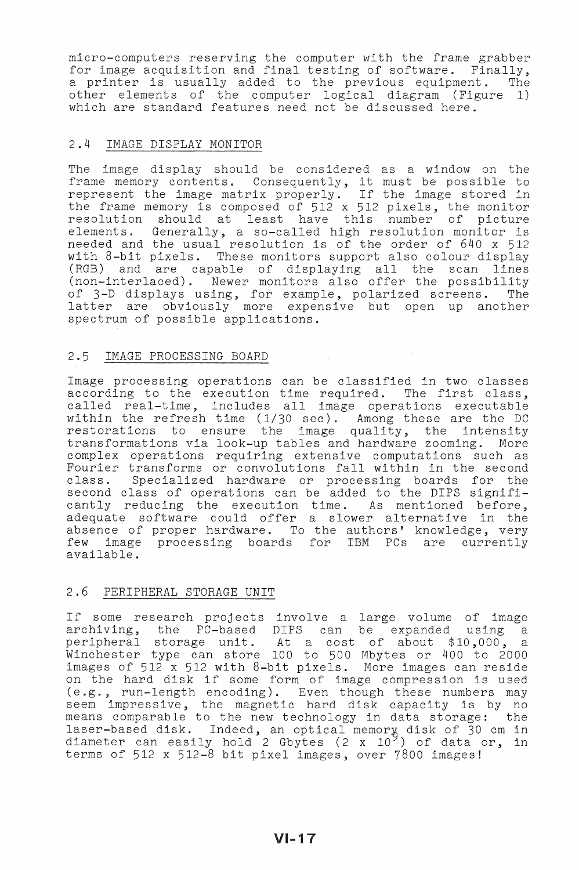micro-computers reserving the computer with the frame grabber for image acquisition and final testing of software. Finally, a printer is usually added to the previous equipment. The other elements of the computer logical diagram (Figure 1) which are standard features need not be discussed here.

# 2.4 IMAGE DISPLAY MONITOR

The image display should be considered as a window on the frame memory contents. Consequently, it must be possible to represent the image matrix properly. If the image stored in the frame memory is composed of 512 x 512 pixels, the monitor resolution should at least have this number of picture elements. Generally, a so-called high resolution monitor is needed and the usual resolution is of the order of 640 x 512 with 8-bit pixels. These monitors support also colour display (RGB) and are capable of displaying all the scan lines (non-interlaced). Newer monitors also offer the possibility of 3-D displays using, for example, polarized screens. The of your dispease wing, for example, pointined befocus. The latter are obviously more expensive but open up another spectrum of possible applications.

#### 2.5 IMAGE PROCESSING BOARD

Image processing operations can be classified in two classes image processing operations can be classified in two classes according to the execution time required. The first class, within the refresh time (1/30 sec). Among these are the DC restorations to ensure the image quality, the intensity transformations via look-up tables and hardware zooming. More complex operations requiring extensive computations such as Fourier transforms or convolutions fall within in the second class. Specialized hardware or processing boards for the second class of operations can be added to the DIPS significantly reducing the execution time. As mentioned before, adequate software could offer a slower alternative in the absence of proper hardware. To the authors' knowledge, very few image processing boards for IBM PCs are currently available.

### 2.6 PERIPHERAL STORAGE UNIT

If some research projects involve a large volume of image archiving, the PC-based DIPS can be expanded using a peripheral storage unit. At a cost of about \$10,000, a Winchester type can store 100 to 500 Mbytes or 400 to 2000 images of 512 x 512 with 8-bit pixels. More images can reside on the hard disk if some form of image compression is used (e. g., run-length encoding). Even though these numbers may seem impressive, the magnetic hard disk capacity is by no means comparable to the new technology in data storage: the laser-based disk. Indeed, an optical memory disk of 30 cm in diameter can easily hold 2 Gbytes  $(2 \times 10^9)$  of data or, in terms of 512 x 512-8 bit pixel images, over 7800 images!

VI-17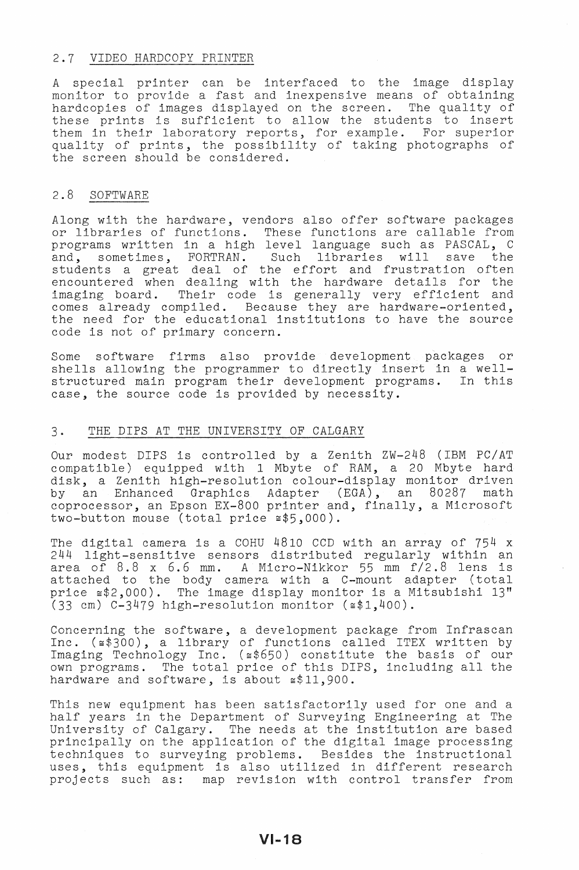#### 2.7 VIDEO HARDCOPY PRINTER

A special printer can be interfaced to the image display monitor to provide a fast and inexpensive means of obtaining hardcopies of images displayed on the screen. The quality of these prints is sufficient to allow the students to insert them in their laboratory reports, for example. For superior quality of prints, the possibility of taking photographs of the screen should be considered.

# 2.8 SOFTWARE

Along with the hardware, vendors also offer software packages or libraries of functions. These functions are callable from programs written in a high level language such as PASCAL, C and, sometimes, FORTRAN. Such libraries will save the students a great deal of the effort and frustration often encountered when dealing with the hardware details for the imaging board. Their code is generally very efficient and Their code is generally very efficient and comes already compiled. Because they are hardware-oriented, the need for the educational institutions to have the source code is not of primary concern.

Some software firms also provide development packages or shells allowing the programmer to directly insert in a wellstructured main program their development programs. In this case, the source code is provided by necessity.

# 3. THE DIPS AT THE UNIVERSITY OF CALGARY

Our modest DIPS is controlled by a Zenith ZW-248 (IBM PC/AT compatible) equipped with 1 Mbyte of RAM, a 20 Mbyte hard disk, a Zenith high-resolution colour-display monitor driven by an Enhanced Graphics Adapter (EGA), an 80287 math coprocessor, an Epson Ex-800 printer and, finally, a Microsoft two-button mouse (total price  $\approx$ \$5,000).

The digital camera is a COHU 4810 CCD with an array of 754 x 244 light-sensitive sensors distributed regularly within an area of 8.8 x 6.6 mm. A Micro-Nikkor 55 mm f/2.8 lens is attached to the body camera with a C-mount adapter (total price ~\$2,000). The image display monitor is a Mitsubishi 13" (33 cm) C-3479 high-resolution monitor  $(*1,400)$ .

Concerning the software, a development package from Infrascan Inc. (~\$300), a library of functions called ITEX written by Imaging Technology Inc. (~\$650) constitute the basis of our Imaging icchnoicg, inc. (E0000) constitute the basis of our components. The total price of this DIPS, including all the hardware and software, is about  $\leq 11,900$ .

This new equipment has been satisfactorily used for one and a half years in the Department of Surveying Engineering at The University of Calgary. The needs at the institution are based principally on the application of the digital image processing techniques to surveying problems. Besides the instructional uses, this equipment is also utilized in different research projects such as: map revision with control transfer from

# $VI-18$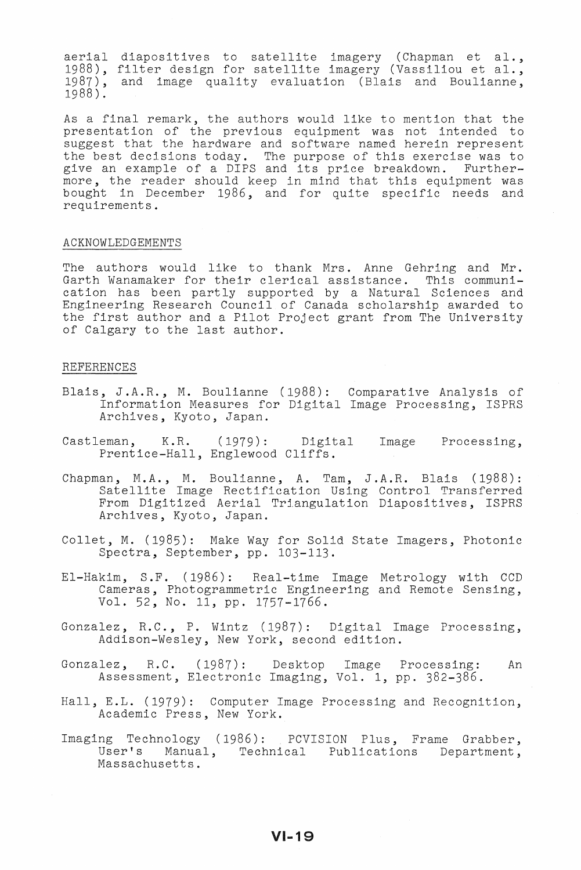aerial diapositives to satellite imagery (Chapman et al., aerial diapositives to satellite imagery (Chapman et al.,<br>1988), filter design for satellite imagery (Vassiliou et al., 1987), and image quality evaluation (Blais and Boulianne, 1988 ) .

As a final remark, the authors would like to mention that the presentation of the previous equipment was not intended to suggest that the hardware and software named herein represent the best decisions today. The purpose of this exercise was to the best decisions today. The purpose of this exercise was to<br>give an example of a DIPS and its price breakdown. Furthergive an enample of a pins and los price sicandom: Taroner bought in December 1986, and for quite specific needs and requirements.

#### ACKNOWLEDGEMENTS

The authors would like to thank Mrs. Anne Gehring and Mr. Garth Wanamaker for their clerical assistance. This communication has been partly supported by a Natural Sciences and Engineering Research Council of Canada scholarship awarded to the first author and a Pilot Project grant from The University of Calgary to the last author.

## REFERENCES

- Blais, J.A.R., M. Boulianne (1988): Comparative Analysis of Information Measures for Digital Image Processing, ISPRS Archives, Kyoto, Japan.
- Castleman, K.R. (1979): Digital Image Processing, Prentice-Hall, Englewood Cliffs.
- Chapman, M.A., M. Boulianne, A. Tam, J.A.R. Blais (1988): an, nin., n. Bourianne, n. ram, c.n.n. Brans (1980). From Digitized Aerial Trlangulation Diapositives, ISPRS Archives, Kyoto, Japan.
- Collet, M. (1985): Make Way for Solid State Imagers, Photonic Spectra, September, pp. 103-113.
- EI-Hakim, S.F. (1986): Real-time Image Metrology with CCD Cameras, Photogrammetric Engineering and Remote Sensing, Vol. 52, No. 11, pp. 1757-1766.
- Gonzalez, R.C., P. Wintz (1987): Digital Image Processing, Addison-Wesley, New York, second edition.
- Gonzalez, R.C. (1987): Desktop Image Processing: An Assessment, Electronic Imaging, Vol. 1, pp. 382-386.
- Hall, E.L. (1979): Computer Image Processing and Recognition, Academic Press, New York.
- Imaging Technology (1986): PCVISION Plus, Frame Grabber, User's Manual, Technical Publications Department, Massachusetts.